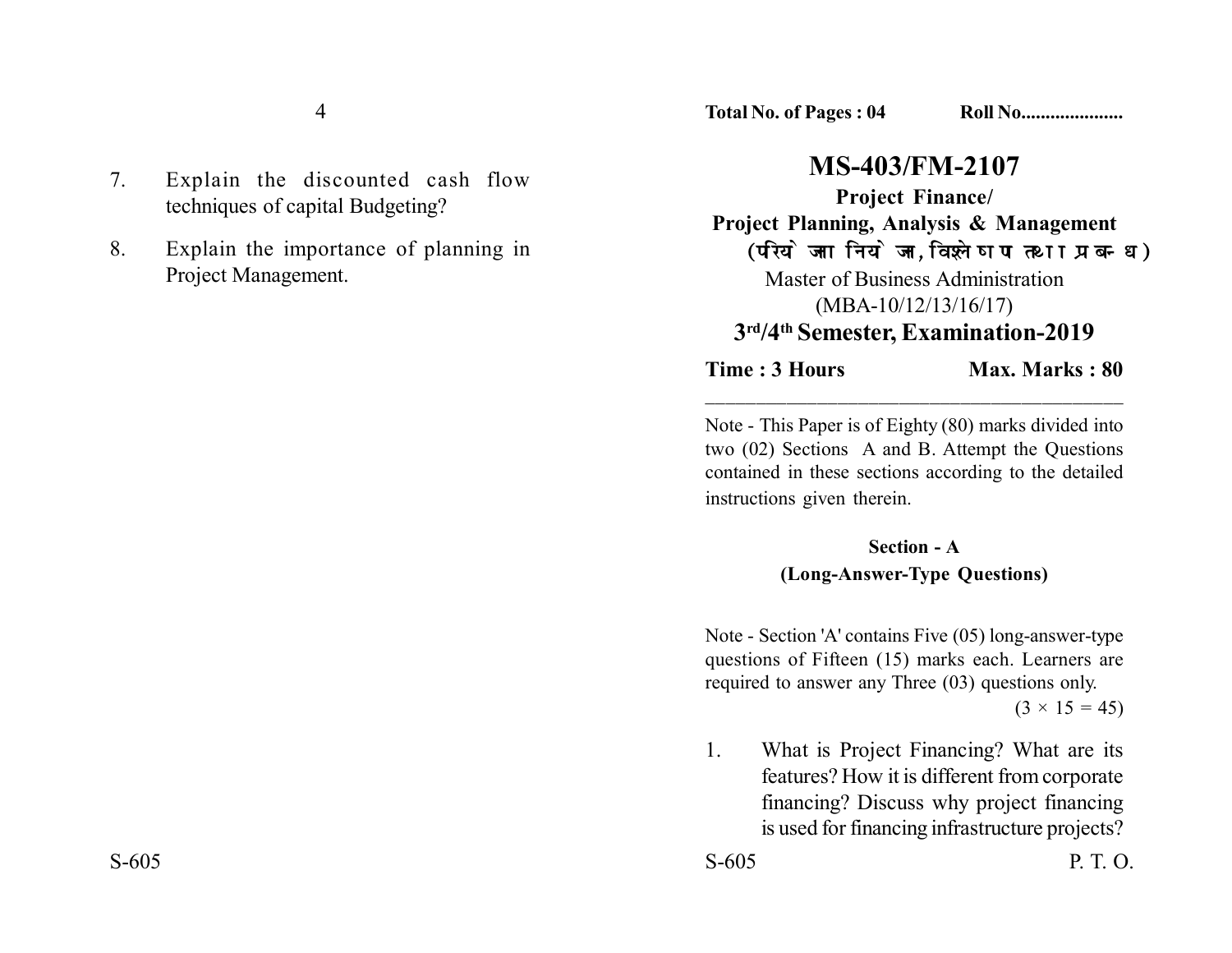4

- 7. Explain the discounted cash flow techniques of capital Budgeting?
- 8. Explain the importance of planning in Project Management.

**Total No. of Pages : 04 Roll No.....................**

## **MS-403/FM-2107**

**Project Finance/ Project Planning, Analysis & Management** (परियोजना नियोजन, विश्लेषण तथा प्रबन्ध) Master of Business Administration (MBA-10/12/13/16/17) **3rd/4th Semester, Examination-2019**

**Time : 3 Hours** Max. Marks : 80

Note - This Paper is of Eighty (80) marks divided into two (02) Sections A and B. Attempt the Questions contained in these sections according to the detailed instructions given therein.

\_\_\_\_\_\_\_\_\_\_\_\_\_\_\_\_\_\_\_\_\_\_\_\_\_\_\_\_\_\_\_\_\_\_\_\_\_\_\_\_\_

## **Section - A**

## **(Long-Answer-Type Questions)**

Note - Section 'A' contains Five (05) long-answer-type questions of Fifteen (15) marks each. Learners are required to answer any Three (03) questions only.

 $(3 \times 15 = 45)$ 

1. What is Project Financing? What are its features? How it is different from corporate financing? Discuss why project financing is used for financing infrastructure projects?

S-605 P. T. O.